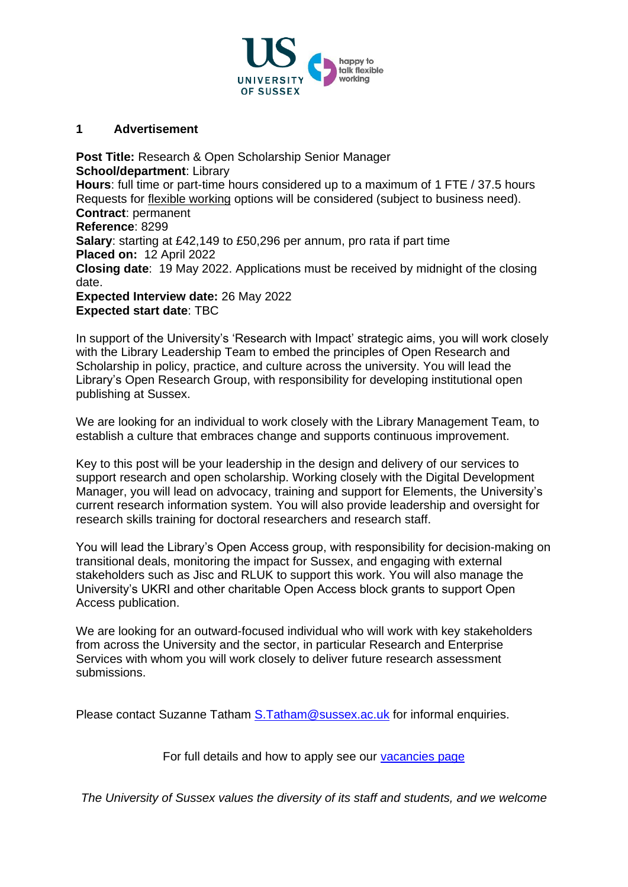

### **1 Advertisement**

**Post Title:** Research & Open Scholarship Senior Manager **School/department**: Library **Hours**: full time or part-time hours considered up to a maximum of 1 FTE / 37.5 hours Requests for [flexible working](http://www.sussex.ac.uk/humanresources/personnel/flexible-working) options will be considered (subject to business need). **Contract**: permanent **Reference**: 8299 **Salary**: starting at £42,149 to £50,296 per annum, pro rata if part time **Placed on:** 12 April 2022 **Closing date**: 19 May 2022. Applications must be received by midnight of the closing date. **Expected Interview date:** 26 May 2022 **Expected start date**: TBC

In support of the University's 'Research with Impact' strategic aims, you will work closely with the Library Leadership Team to embed the principles of Open Research and Scholarship in policy, practice, and culture across the university. You will lead the Library's Open Research Group, with responsibility for developing institutional open publishing at Sussex.

We are looking for an individual to work closely with the Library Management Team, to establish a culture that embraces change and supports continuous improvement.

Key to this post will be your leadership in the design and delivery of our services to support research and open scholarship. Working closely with the Digital Development Manager, you will lead on advocacy, training and support for Elements, the University's current research information system. You will also provide leadership and oversight for research skills training for doctoral researchers and research staff.

You will lead the Library's Open Access group, with responsibility for decision-making on transitional deals, monitoring the impact for Sussex, and engaging with external stakeholders such as Jisc and RLUK to support this work. You will also manage the University's UKRI and other charitable Open Access block grants to support Open Access publication.

We are looking for an outward-focused individual who will work with key stakeholders from across the University and the sector, in particular Research and Enterprise Services with whom you will work closely to deliver future research assessment submissions.

Please contact Suzanne Tatham [S.Tatham@sussex.ac.uk](mailto:S.Tatham@sussex.ac.uk) for informal enquiries.

For full details and how to apply see our [vacancies page](http://www.sussex.ac.uk/about/jobs)

*The University of Sussex values the diversity of its staff and students, and we welcome*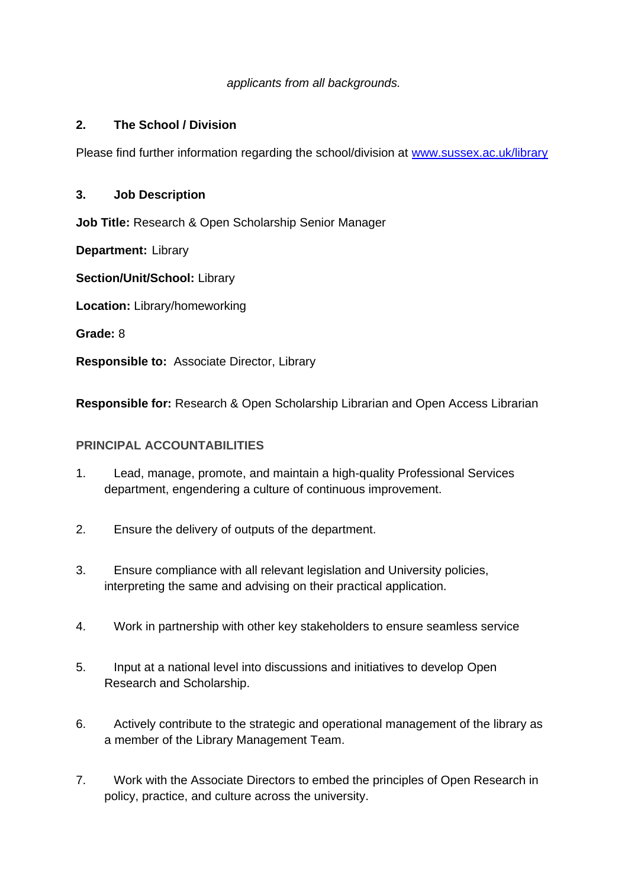### *applicants from all backgrounds.*

### **2. The School / Division**

Please find further information regarding the school/division at [www.sussex.ac.uk/library](http://www.sussex.ac.uk/library)

### **3. Job Description**

**Job Title:** Research & Open Scholarship Senior Manager

**Department:** Library

**Section/Unit/School:** Library

**Location:** Library/homeworking

**Grade:** 8

**Responsible to:** Associate Director, Library

**Responsible for:** Research & Open Scholarship Librarian and Open Access Librarian

#### **PRINCIPAL ACCOUNTABILITIES**

- 1. Lead, manage, promote, and maintain a high-quality Professional Services department, engendering a culture of continuous improvement.
- 2. Ensure the delivery of outputs of the department.
- 3. Ensure compliance with all relevant legislation and University policies, interpreting the same and advising on their practical application.
- 4. Work in partnership with other key stakeholders to ensure seamless service
- 5. Input at a national level into discussions and initiatives to develop Open Research and Scholarship.
- 6. Actively contribute to the strategic and operational management of the library as a member of the Library Management Team.
- 7. Work with the Associate Directors to embed the principles of Open Research in policy, practice, and culture across the university.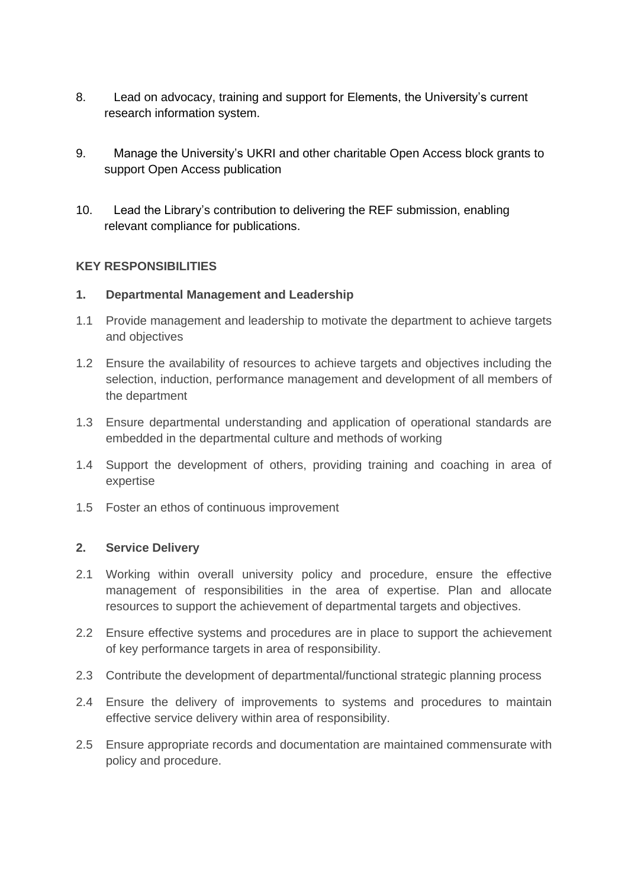- 8. Lead on advocacy, training and support for Elements, the University's current research information system.
- 9. Manage the University's UKRI and other charitable Open Access block grants to support Open Access publication
- 10. Lead the Library's contribution to delivering the REF submission, enabling relevant compliance for publications.

### **KEY RESPONSIBILITIES**

### **1. Departmental Management and Leadership**

- 1.1 Provide management and leadership to motivate the department to achieve targets and objectives
- 1.2 Ensure the availability of resources to achieve targets and objectives including the selection, induction, performance management and development of all members of the department
- 1.3 Ensure departmental understanding and application of operational standards are embedded in the departmental culture and methods of working
- 1.4 Support the development of others, providing training and coaching in area of expertise
- 1.5 Foster an ethos of continuous improvement

#### **2. Service Delivery**

- 2.1 Working within overall university policy and procedure, ensure the effective management of responsibilities in the area of expertise. Plan and allocate resources to support the achievement of departmental targets and objectives.
- 2.2 Ensure effective systems and procedures are in place to support the achievement of key performance targets in area of responsibility.
- 2.3 Contribute the development of departmental/functional strategic planning process
- 2.4 Ensure the delivery of improvements to systems and procedures to maintain effective service delivery within area of responsibility.
- 2.5 Ensure appropriate records and documentation are maintained commensurate with policy and procedure.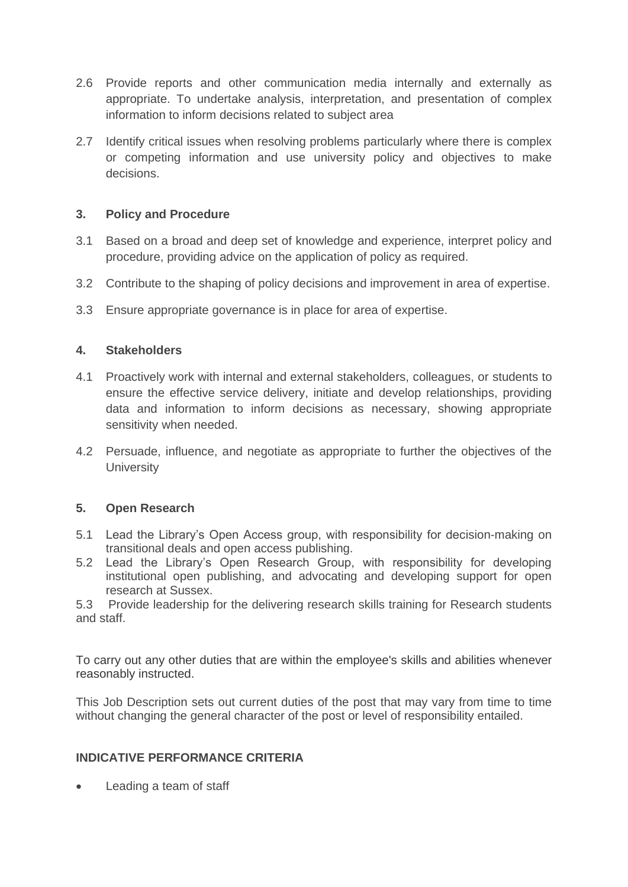- 2.6 Provide reports and other communication media internally and externally as appropriate. To undertake analysis, interpretation, and presentation of complex information to inform decisions related to subject area
- 2.7 Identify critical issues when resolving problems particularly where there is complex or competing information and use university policy and objectives to make decisions.

## **3. Policy and Procedure**

- 3.1 Based on a broad and deep set of knowledge and experience, interpret policy and procedure, providing advice on the application of policy as required.
- 3.2 Contribute to the shaping of policy decisions and improvement in area of expertise.
- 3.3 Ensure appropriate governance is in place for area of expertise.

## **4. Stakeholders**

- 4.1 Proactively work with internal and external stakeholders, colleagues, or students to ensure the effective service delivery, initiate and develop relationships, providing data and information to inform decisions as necessary, showing appropriate sensitivity when needed.
- 4.2 Persuade, influence, and negotiate as appropriate to further the objectives of the **University**

## **5. Open Research**

- 5.1 Lead the Library's Open Access group, with responsibility for decision-making on transitional deals and open access publishing.
- 5.2 Lead the Library's Open Research Group, with responsibility for developing institutional open publishing, and advocating and developing support for open research at Sussex.

5.3 Provide leadership for the delivering research skills training for Research students and staff.

To carry out any other duties that are within the employee's skills and abilities whenever reasonably instructed.

This Job Description sets out current duties of the post that may vary from time to time without changing the general character of the post or level of responsibility entailed.

## **INDICATIVE PERFORMANCE CRITERIA**

• Leading a team of staff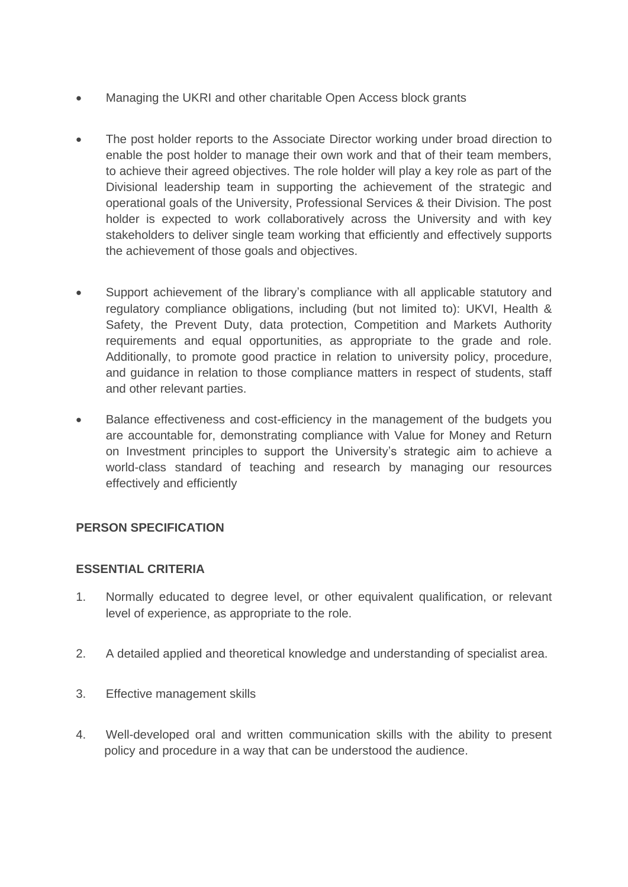- Managing the UKRI and other charitable Open Access block grants
- The post holder reports to the Associate Director working under broad direction to enable the post holder to manage their own work and that of their team members, to achieve their agreed objectives. The role holder will play a key role as part of the Divisional leadership team in supporting the achievement of the strategic and operational goals of the University, Professional Services & their Division. The post holder is expected to work collaboratively across the University and with key stakeholders to deliver single team working that efficiently and effectively supports the achievement of those goals and objectives.
- Support achievement of the library's compliance with all applicable statutory and regulatory compliance obligations, including (but not limited to): UKVI, Health & Safety, the Prevent Duty, data protection, Competition and Markets Authority requirements and equal opportunities, as appropriate to the grade and role. Additionally, to promote good practice in relation to university policy, procedure, and guidance in relation to those compliance matters in respect of students, staff and other relevant parties.
- Balance effectiveness and cost-efficiency in the management of the budgets you are accountable for, demonstrating compliance with Value for Money and Return on Investment principles to support the University's strategic aim to achieve a world-class standard of teaching and research by managing our resources effectively and efficiently

# **PERSON SPECIFICATION**

## **ESSENTIAL CRITERIA**

- 1. Normally educated to degree level, or other equivalent qualification, or relevant level of experience, as appropriate to the role.
- 2. A detailed applied and theoretical knowledge and understanding of specialist area.
- 3. Effective management skills
- 4. Well-developed oral and written communication skills with the ability to present policy and procedure in a way that can be understood the audience.